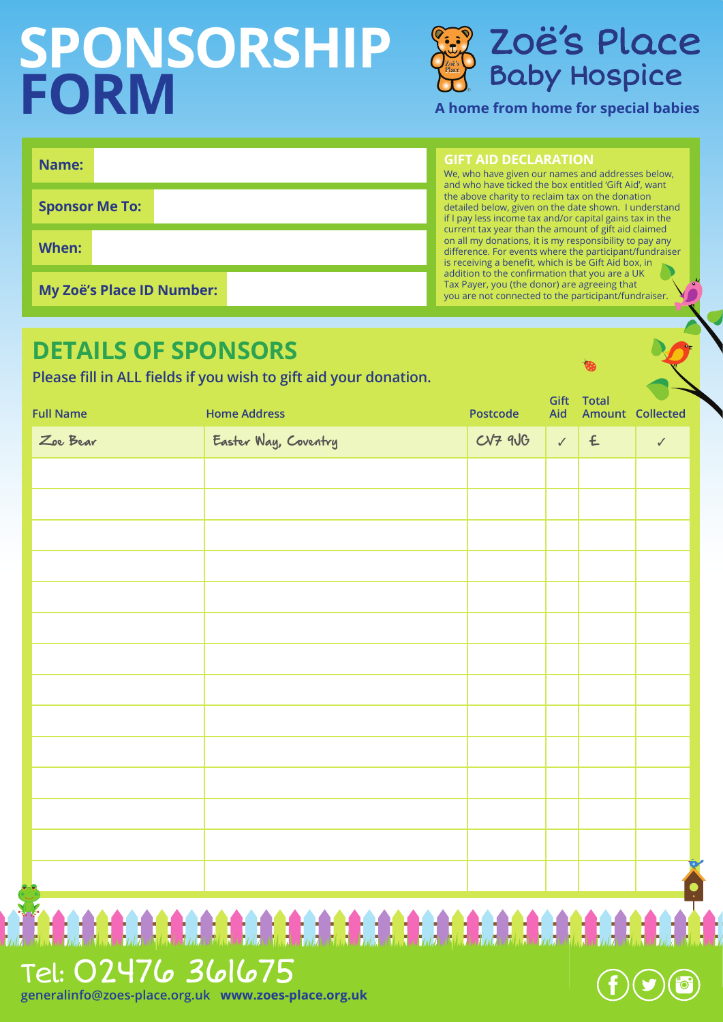# **SPONSORSHIP FORM**



**A home from home for special babies** 

| Name:                 |                                  |
|-----------------------|----------------------------------|
| <b>Sponsor Me To:</b> |                                  |
| When:                 |                                  |
|                       | <b>My Zoë's Place ID Number:</b> |

**GIFT AID DECLARATION**

We, who have given our names and addresses below, and who have ticked the box entitled 'Gift Aid', want the above charity to reclaim tax on the donation detailed below, given on the date shown. I understand if I pay less income tax and/or capital gains tax in the current tax year than the amount of gift aid claimed on all my donations, it is my responsibility to pay any difference. For events where the participant/fundraiser is receiving a benefit, which is be Gift Aid box, in addition to the confirmation that you are a UK Tax Payer, you (the donor) are agreeing that you are not connected to the participant/fundraiser.

| <b>DETAILS OF SPONSORS</b><br>Please fill in ALL fields if you wish to gift aid your donation. |                      | ରେ              |             |                           |                |
|------------------------------------------------------------------------------------------------|----------------------|-----------------|-------------|---------------------------|----------------|
| <b>Full Name</b>                                                                               | <b>Home Address</b>  | <b>Postcode</b> | Gift<br>Aid | Total<br>Amount Collected |                |
| Zoe Bear                                                                                       | Easter Way, Coventry | $CVP$ 9 $UG$    |             | $\angle$ $\in$            | $\checkmark$   |
|                                                                                                |                      |                 |             |                           |                |
|                                                                                                |                      |                 |             |                           |                |
|                                                                                                |                      |                 |             |                           |                |
|                                                                                                |                      |                 |             |                           |                |
|                                                                                                |                      |                 |             |                           |                |
|                                                                                                |                      |                 |             |                           |                |
|                                                                                                |                      |                 |             |                           |                |
|                                                                                                |                      |                 |             |                           |                |
|                                                                                                |                      |                 |             |                           |                |
|                                                                                                |                      |                 |             |                           |                |
|                                                                                                |                      |                 |             |                           |                |
|                                                                                                |                      |                 |             |                           |                |
|                                                                                                |                      |                 |             |                           |                |
|                                                                                                |                      |                 |             |                           | O<br>$\bullet$ |
|                                                                                                |                      |                 |             |                           |                |

# Tel: 02476 361675

**generalinfo@zoes-place.org.uk www.zoes-place.org.uk**